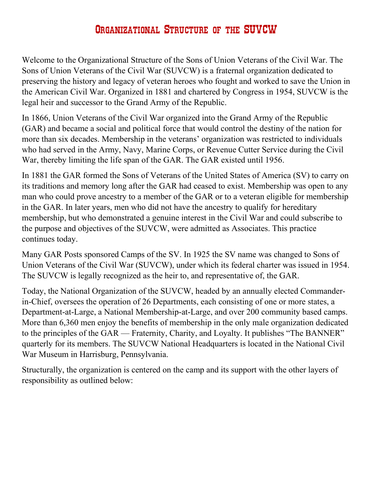## Organizational Structure of the SUVCW

Welcome to the Organizational Structure of the Sons of Union Veterans of the Civil War. The Sons of Union Veterans of the Civil War (SUVCW) is a fraternal organization dedicated to preserving the history and legacy of veteran heroes who fought and worked to save the Union in the American Civil War. Organized in 1881 and chartered by Congress in 1954, SUVCW is the legal heir and successor to the Grand Army of the Republic.

In 1866, Union Veterans of the Civil War organized into the Grand Army of the Republic (GAR) and became a social and political force that would control the destiny of the nation for more than six decades. Membership in the veterans' organization was restricted to individuals who had served in the Army, Navy, Marine Corps, or Revenue Cutter Service during the Civil War, thereby limiting the life span of the GAR. The GAR existed until 1956.

In 1881 the GAR formed the Sons of Veterans of the United States of America (SV) to carry on its traditions and memory long after the GAR had ceased to exist. Membership was open to any man who could prove ancestry to a member of the GAR or to a veteran eligible for membership in the GAR. In later years, men who did not have the ancestry to qualify for hereditary membership, but who demonstrated a genuine interest in the Civil War and could subscribe to the purpose and objectives of the SUVCW, were admitted as Associates. This practice continues today.

Many GAR Posts sponsored Camps of the SV. In 1925 the SV name was changed to Sons of Union Veterans of the Civil War (SUVCW), under which its federal charter was issued in 1954. The SUVCW is legally recognized as the heir to, and representative of, the GAR.

Today, the National Organization of the SUVCW, headed by an annually elected Commanderin-Chief, oversees the operation of 26 Departments, each consisting of one or more states, a Department-at-Large, a National Membership-at-Large, and over 200 community based camps. More than 6,360 men enjoy the benefits of membership in the only male organization dedicated to the principles of the GAR — Fraternity, Charity, and Loyalty. It publishes "The BANNER" quarterly for its members. The SUVCW National Headquarters is located in the National Civil War Museum in Harrisburg, Pennsylvania.

Structurally, the organization is centered on the camp and its support with the other layers of responsibility as outlined below: